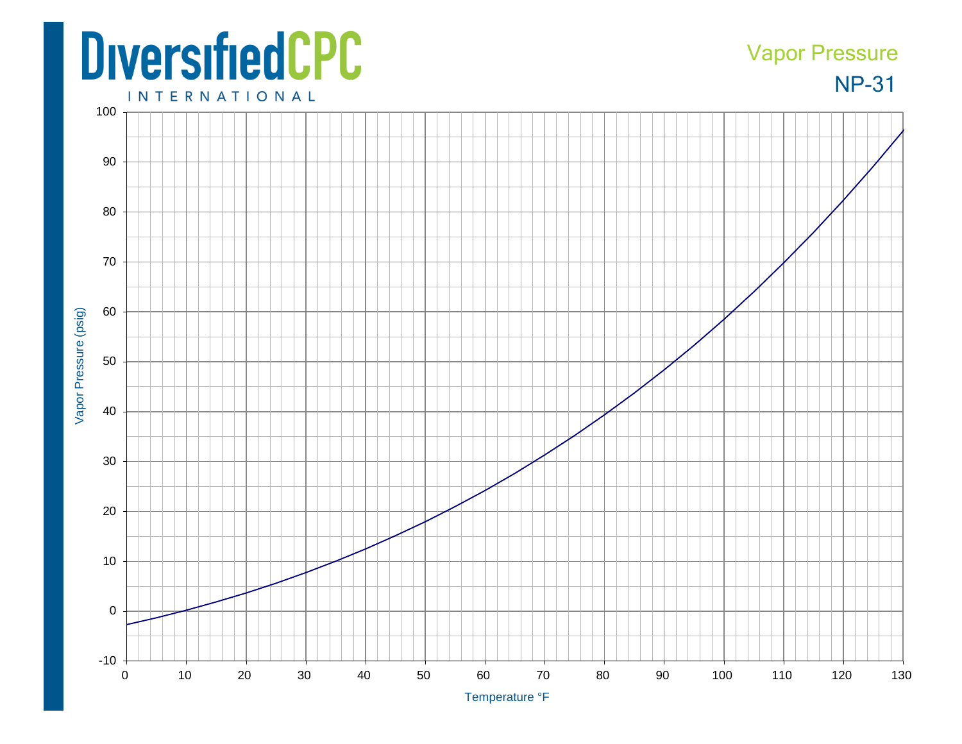## **DiversifiedCPC**

## NP-31 Vapor Pressure

**INTERNATIONAL**